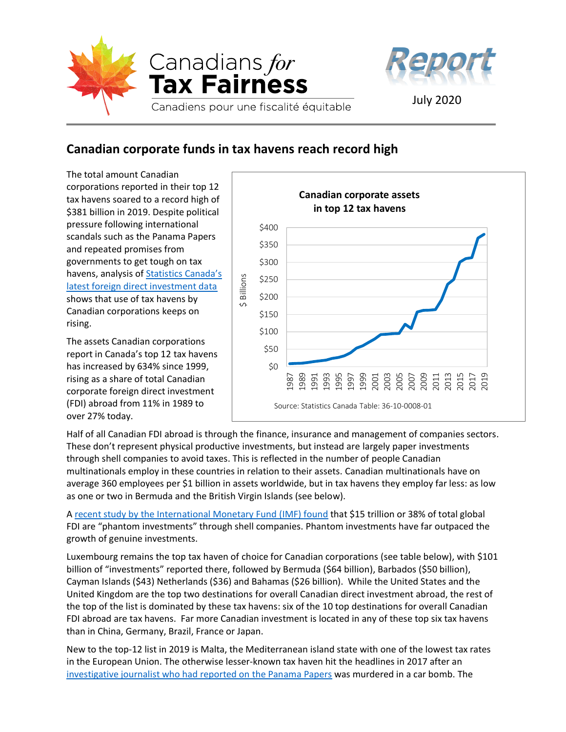



## **Canadian corporate funds in tax havens reach record high**

The total amount Canadian corporations reported in their top 12 tax havens soared to a record high of \$381 billion in 2019. Despite political pressure following international scandals such as the Panama Papers and repeated promises from governments to get tough on tax havens, analysis of **Statistics Canada's** [latest foreign direct investment data](https://www150.statcan.gc.ca/n1/daily-quotidien/200717/dq200717b-eng.htm?HPA=1) shows that use of tax havens by Canadian corporations keeps on rising.

The assets Canadian corporations report in Canada's top 12 tax havens has increased by 634% since 1999, rising as a share of total Canadian corporate foreign direct investment (FDI) abroad from 11% in 1989 to over 27% today.



Half of all Canadian FDI abroad is through the finance, insurance and management of companies sectors. These don't represent physical productive investments, but instead are largely paper investments through shell companies to avoid taxes. This is reflected in the number of people Canadian multinationals employ in these countries in relation to their assets. Canadian multinationals have on average 360 employees per \$1 billion in assets worldwide, but in tax havens they employ far less: as low as one or two in Bermuda and the British Virgin Islands (see below).

A [recent study by the International Monetary Fund \(IMF\) found](https://www.imf.org/external/pubs/ft/fandd/2019/09/the-rise-of-phantom-FDI-in-tax-havens-damgaard.htm) that \$15 trillion or 38% of total global FDI are "phantom investments" through shell companies. Phantom investments have far outpaced the growth of genuine investments.

Luxembourg remains the top tax haven of choice for Canadian corporations (see table below), with \$101 billion of "investments" reported there, followed by Bermuda (\$64 billion), Barbados (\$50 billion), Cayman Islands (\$43) Netherlands (\$36) and Bahamas (\$26 billion). While the United States and the United Kingdom are the top two destinations for overall Canadian direct investment abroad, the rest of the top of the list is dominated by these tax havens: six of the 10 top destinations for overall Canadian FDI abroad are tax havens. Far more Canadian investment is located in any of these top six tax havens than in China, Germany, Brazil, France or Japan.

New to the top-12 list in 2019 is Malta, the Mediterranean island state with one of the lowest tax rates in the European Union. The otherwise lesser-known tax haven hit the headlines in 2017 after an [investigative journalist who had reported on the Panama Papers](https://www.icij.org/tags/daphne-caruana-galizia/) was murdered in a car bomb. The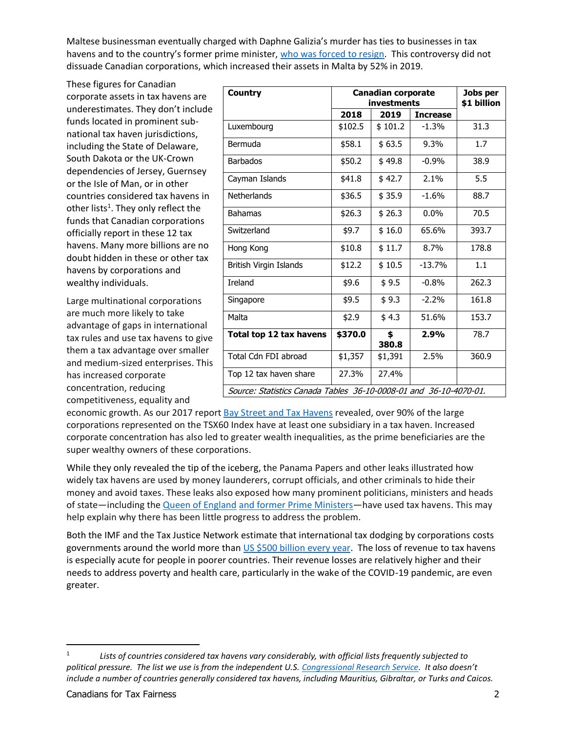Maltese businessman eventually charged with Daphne Galizia's murder has ties to businesses in tax havens and to the country's former prime minister, [who was forced to resign.](https://www.icij.org/investigations/panama-papers/maltas-pm-to-resign-in-january-amid-journalist-murder-scandal/) This controversy did not dissuade Canadian corporations, which increased their assets in Malta by 52% in 2019.

These figures for Canadian corporate assets in tax havens are underestimates. They don't include funds located in prominent subnational tax haven jurisdictions, including the State of Delaware, South Dakota or the UK-Crown dependencies of Jersey, Guernsey or the Isle of Man, or in other countries considered tax havens in other lists<sup>1</sup>. They only reflect the funds that Canadian corporations officially report in these 12 tax havens. Many more billions are no doubt hidden in these or other tax havens by corporations and wealthy individuals.

Large multinational corporations are much more likely to take advantage of gaps in international tax rules and use tax havens to give them a tax advantage over smaller and medium-sized enterprises. This has increased corporate concentration, reducing competitiveness, equality and

| <b>Country</b>                                                    | <b>Canadian corporate</b> |             |                 | Jobs per    |
|-------------------------------------------------------------------|---------------------------|-------------|-----------------|-------------|
|                                                                   | investments               |             |                 | \$1 billion |
|                                                                   | 2018                      | 2019        | <b>Increase</b> |             |
| Luxembourg                                                        | \$102.5                   | \$101.2     | $-1.3%$         | 31.3        |
| Bermuda                                                           | \$58.1                    | \$63.5      | 9.3%            | 1.7         |
| <b>Barbados</b>                                                   | \$50.2                    | \$49.8      | $-0.9%$         | 38.9        |
| Cayman Islands                                                    | \$41.8                    | \$42.7      | 2.1%            | 5.5         |
| Netherlands                                                       | \$36.5                    | \$35.9      | $-1.6%$         | 88.7        |
| <b>Bahamas</b>                                                    | \$26.3                    | \$26.3      | 0.0%            | 70.5        |
| Switzerland                                                       | \$9.7                     | \$16.0      | 65.6%           | 393.7       |
| Hong Kong                                                         | \$10.8                    | \$11.7      | 8.7%            | 178.8       |
| British Virgin Islands                                            | \$12.2                    | \$10.5      | $-13.7%$        | 1.1         |
| <b>Ireland</b>                                                    | \$9.6                     | \$9.5       | $-0.8%$         | 262.3       |
| Singapore                                                         | \$9.5                     | \$9.3       | $-2.2%$         | 161.8       |
| Malta                                                             | \$2.9                     | \$4.3       | 51.6%           | 153.7       |
| Total top 12 tax havens                                           | \$370.0                   | \$<br>380.8 | 2.9%            | 78.7        |
| Total Cdn FDI abroad                                              | \$1,357                   | \$1,391     | 2.5%            | 360.9       |
| Top 12 tax haven share                                            | 27.3%                     | 27.4%       |                 |             |
| Source: Statistics Canada Tables 36-10-0008-01 and 36-10-4070-01. |                           |             |                 |             |

economic growth. As our 2017 report [Bay Street and Tax Havens](https://www.taxfairness.ca/en/page/report-bay-street-and-tax-havens) revealed, over 90% of the large corporations represented on the TSX60 Index have at least one subsidiary in a tax haven. Increased corporate concentration has also led to greater wealth inequalities, as the prime beneficiaries are the super wealthy owners of these corporations.

While they only revealed the tip of the iceberg, the Panama Papers and other leaks illustrated how widely tax havens are used by money launderers, corrupt officials, and other criminals to hide their money and avoid taxes. These leaks also exposed how many prominent politicians, ministers and heads of state—including the [Queen of England](https://www.theguardian.com/news/2017/nov/05/revealed-queen-private-estate-invested-offshore-paradise-papers) [and former Prime Ministers](https://www.cbc.ca/news/business/paradise-papers-paul-martin-1.4390174)—have used tax havens. This may help explain why there has been little progress to address the problem.

Both the IMF and the Tax Justice Network estimate that international tax dodging by corporations costs governments around the world more than [US \\$500 billion every year.](https://www.imf.org/external/pubs/ft/fandd/2019/09/tackling-global-tax-havens-shaxon.htm) The loss of revenue to tax havens is especially acute for people in poorer countries. Their revenue losses are relatively higher and their needs to address poverty and health care, particularly in the wake of the COVID-19 pandemic, are even greater.

<sup>1</sup> *Lists of countries considered tax havens vary considerably, with official lists frequently subjected to political pressure. The list we use is from the independent U.S[. Congressional Research Service](https://crsreports.congress.gov/product/pdf/R/R40623/22). It also doesn't include a number of countries generally considered tax havens, including Mauritius, Gibraltar, or Turks and Caicos.*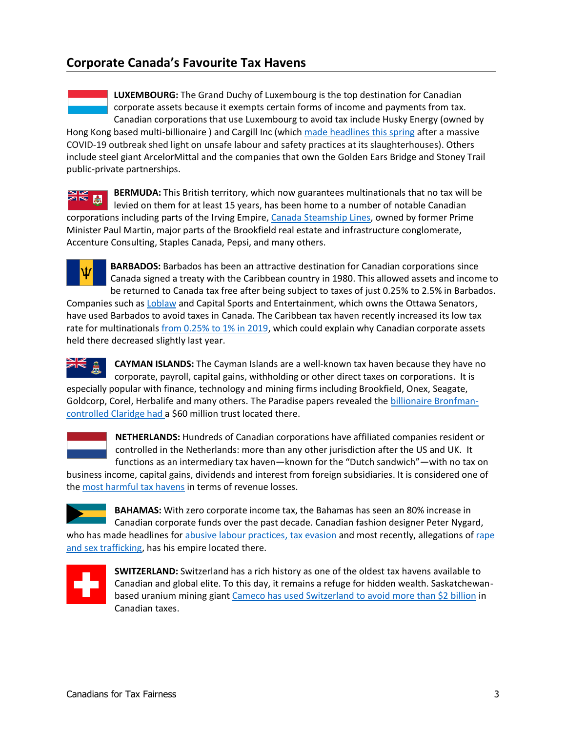## **Corporate Canada's Favourite Tax Havens**

**LUXEMBOURG:** The Grand Duchy of Luxembourg is the top destination for Canadian corporate assets because it exempts certain forms of income and payments from tax. Canadian corporations that use Luxembourg to avoid tax include Husky Energy (owned by Hong Kong based multi-billionaire ) and Cargill Inc (which [made headlines t](https://www.taxfairness.ca/en/news/cargill%E2%80%99s-slaughterhouse-profits-flow-through-tax-havens-keep-its-billionaire-owners-wealthy)his spring after a massive COVID-19 outbreak shed light on unsafe labour and safety practices at its slaughterhouses). Others include steel giant ArcelorMittal and the companies that own the Golden Ears Bridge and Stoney Trail public-private partnerships.

**BERMUDA:** This British territory, which now guarantees multinationals that no tax will be levied on them for at least 15 years, has been home to a number of notable Canadian corporations including parts of the Irving Empire, [Canada Steamship Lines,](https://www.cbc.ca/news/business/paradise-papers-leak-1.4387338) owned by former Prime Minister Paul Martin, major parts of the Brookfield real estate and infrastructure conglomerate, Accenture Consulting, Staples Canada, Pepsi, and many others.



**BARBADOS:** Barbados has been an attractive destination for Canadian corporations since Canada signed a treaty with the Caribbean country in 1980. This allowed assets and income to be returned to Canada tax free after being subject to taxes of just 0.25% to 2.5% in Barbados. Companies such as [Loblaw](https://financialpost.com/news/retail-marketing/court-of-appeal-sides-with-loblaw-in-368-million-barbados-bank-tax-evasion-case) and Capital Sports and Entertainment, which owns the Ottawa Senators, have used Barbados to avoid taxes in Canada. The Caribbean tax haven recently increased its low tax rate for multinationals [from 0.25% to 1% in 2019,](https://assets.kpmg/content/dam/kpmg/ca/pdf/tnf/2018/ca-canadian-multinationals-could-be-affected-by-barbados-major-international-tax-changes.pdf) which could explain why Canadian corporate assets

held there decreased slightly last year.

**CAYMAN ISLANDS:** The Cayman Islands are a well-known tax haven because they have no corporate, payroll, capital gains, withholding or other direct taxes on corporations. It is especially popular with finance, technology and mining firms including Brookfield, Onex, Seagate, Goldcorp, Corel, Herbalife and many others. The Paradise papers revealed th[e billionaire Bronfman](https://www.cbc.ca/news/business/stephen-bronfman-trudeau-paradise-papers-1.4382511)[controlled Claridge](https://www.cbc.ca/news/business/stephen-bronfman-trudeau-paradise-papers-1.4382511) had a \$60 million trust located there.



**NETHERLANDS:** Hundreds of Canadian corporations have affiliated companies resident or controlled in the Netherlands: more than any other jurisdiction after the US and UK. It functions as an intermediary tax haven—known for the "Dutch sandwich"—with no tax on

business income, capital gains, dividends and interest from foreign subsidiaries. It is considered one of the [most harmful tax havens](https://www.taxjustice.net/2020/07/20/hypocrisy-of-frugal-netherlands-lambasted-by-tax-haven-watchdog/) in terms of revenue losses.



**BAHAMAS:** With zero corporate income tax, the Bahamas has seen an 80% increase in Canadian corporate funds over the past decade. Canadian fashion designer Peter Nygard,

who has made headlines for [abusive labour practices, tax evasion](https://www.forbes.com/forbes/2010/1206/features-peter-nygard-sexual-harassment-answers-to-no-one.html) and most recently, allegations of [rape](https://www.cbc.ca/news/world/bahamas-peter-nygard-rape-allegations-1.5473377)  [and sex trafficking,](https://www.cbc.ca/news/world/bahamas-peter-nygard-rape-allegations-1.5473377) has his empire located there.



**SWITZERLAND:** Switzerland has a rich history as one of the oldest tax havens available to Canadian and global elite. To this day, it remains a refuge for hidden wealth. Saskatchewanbased uranium mining giant [Cameco has used Switzerland to avoid more than \\$2 billion](https://www.taxfairness.ca/en/news/canada-must-urgently-reform-corporate-tax-rules-after-another-major-court-loss) in Canadian taxes.